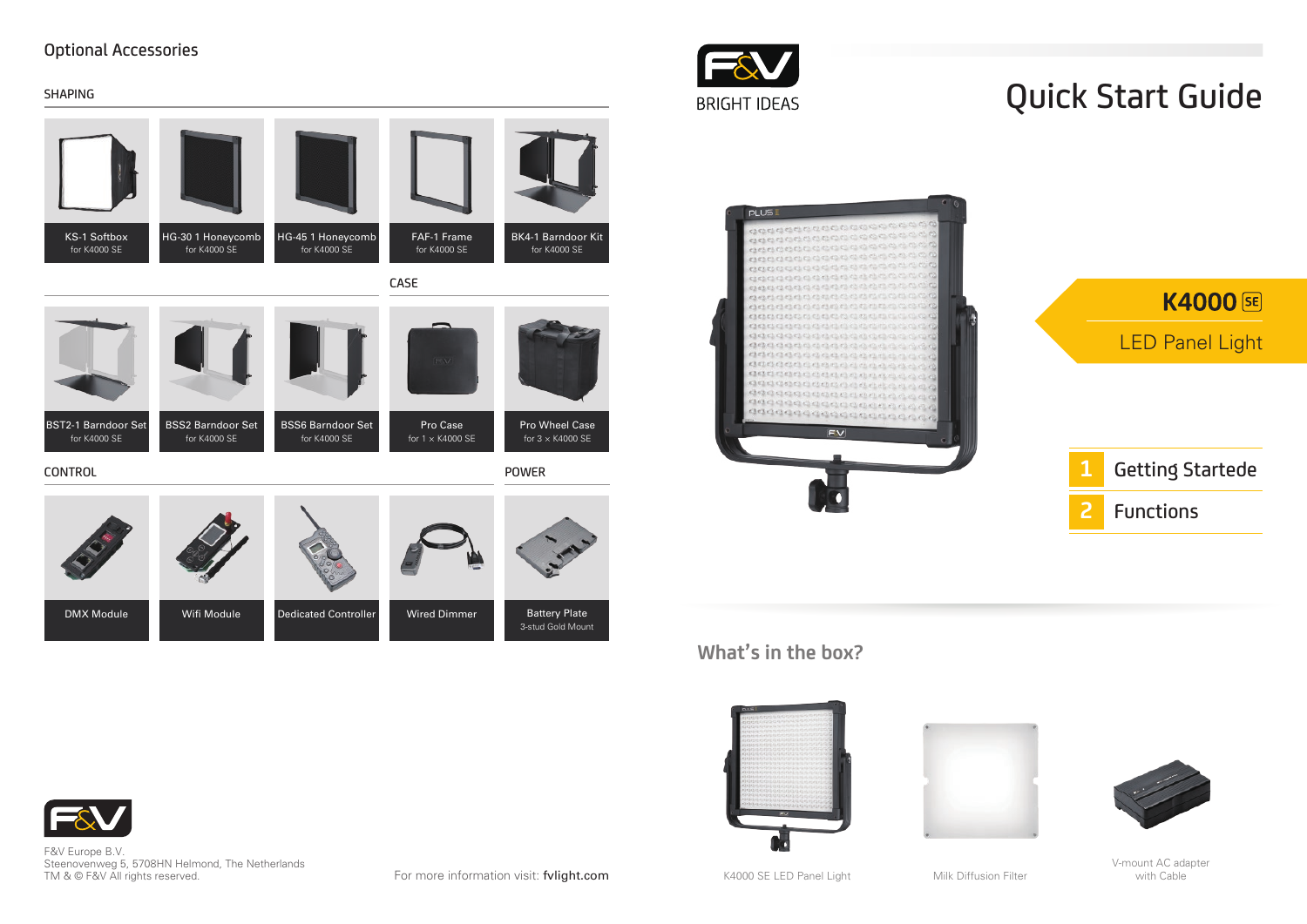#### Optional Accessories





F&V Europe B.V. Steenovenweg 5, 5708HN Helmond, The Netherlands TM & © F&V All rights reserved.

For more information visit: fvlight.com

K4000 SE LED Panel Light

O۵

Milk Diffusion Filter

V-mount AC adapter<br>with Cable